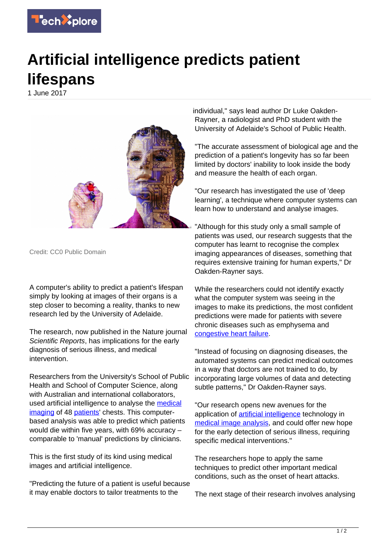

## **Artificial intelligence predicts patient lifespans**

1 June 2017



Credit: CC0 Public Domain

A computer's ability to predict a patient's lifespan simply by looking at images of their organs is a step closer to becoming a reality, thanks to new research led by the University of Adelaide.

The research, now published in the Nature journal Scientific Reports, has implications for the early diagnosis of serious illness, and medical intervention.

Researchers from the University's School of Public Health and School of Computer Science, along with Australian and international collaborators. used artificial intelligence to analyse the [medical](https://techxplore.com/tags/medical+imaging/) [imaging](https://techxplore.com/tags/medical+imaging/) of 48 [patients](https://techxplore.com/tags/patients/)' chests. This computerbased analysis was able to predict which patients would die within five years, with 69% accuracy – comparable to 'manual' predictions by clinicians.

This is the first study of its kind using medical images and artificial intelligence.

"Predicting the future of a patient is useful because it may enable doctors to tailor treatments to the

individual," says lead author Dr Luke Oakden-Rayner, a radiologist and PhD student with the University of Adelaide's School of Public Health.

"The accurate assessment of biological age and the prediction of a patient's longevity has so far been limited by doctors' inability to look inside the body and measure the health of each organ.

"Our research has investigated the use of 'deep learning', a technique where computer systems can learn how to understand and analyse images.

"Although for this study only a small sample of patients was used, our research suggests that the computer has learnt to recognise the complex imaging appearances of diseases, something that requires extensive training for human experts," Dr Oakden-Rayner says.

While the researchers could not identify exactly what the computer system was seeing in the images to make its predictions, the most confident predictions were made for patients with severe chronic diseases such as emphysema and [congestive heart failure](https://techxplore.com/tags/congestive+heart+failure/).

"Instead of focusing on diagnosing diseases, the automated systems can predict medical outcomes in a way that doctors are not trained to do, by incorporating large volumes of data and detecting subtle patterns," Dr Oakden-Rayner says.

"Our research opens new avenues for the application of [artificial intelligence](https://techxplore.com/tags/artificial+intelligence/) technology in [medical image analysis](https://techxplore.com/tags/medical+image+analysis/), and could offer new hope for the early detection of serious illness, requiring specific medical interventions."

The researchers hope to apply the same techniques to predict other important medical conditions, such as the onset of heart attacks.

The next stage of their research involves analysing